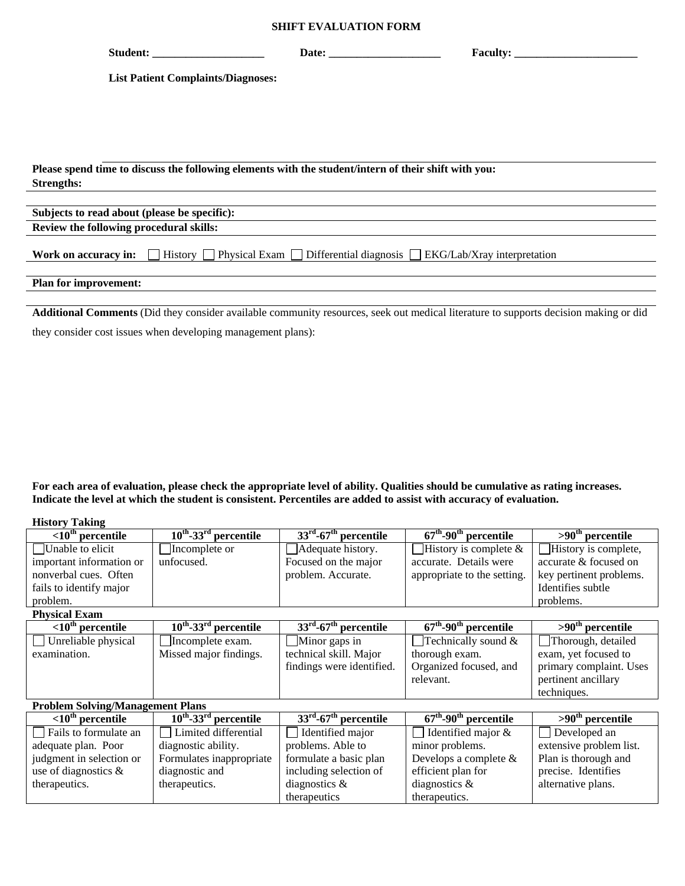## **SHIFT EVALUATION FORM**

| Student:                                                                                                                         | Date: |  |  |  |  |  |
|----------------------------------------------------------------------------------------------------------------------------------|-------|--|--|--|--|--|
| <b>List Patient Complaints/Diagnoses:</b>                                                                                        |       |  |  |  |  |  |
|                                                                                                                                  |       |  |  |  |  |  |
|                                                                                                                                  |       |  |  |  |  |  |
|                                                                                                                                  |       |  |  |  |  |  |
| Please spend time to discuss the following elements with the student/intern of their shift with you:                             |       |  |  |  |  |  |
| <b>Strengths:</b>                                                                                                                |       |  |  |  |  |  |
| Subjects to read about (please be specific):                                                                                     |       |  |  |  |  |  |
| Review the following procedural skills:                                                                                          |       |  |  |  |  |  |
| <b>Work on accuracy in:</b> $\Box$ History $\Box$ Physical Exam $\Box$ Differential diagnosis $\Box$ EKG/Lab/Xray interpretation |       |  |  |  |  |  |
| <b>Plan for improvement:</b>                                                                                                     |       |  |  |  |  |  |

**Additional Comments** (Did they consider available community resources, seek out medical literature to supports decision making or did they consider cost issues when developing management plans):

**For each area of evaluation, please check the appropriate level of ability. Qualities should be cumulative as rating increases. Indicate the level at which the student is consistent. Percentiles are added to assist with accuracy of evaluation.** 

**History Taking** 

| $\frac{1}{2}$<br>$\overline{<}10^{\text{th}}$ percentile | $10^{th}$ -33 <sup>rd</sup> percentile | $33rd$ -67 <sup>th</sup> percentile | $\overline{67^{th}}$ -90 <sup>th</sup> percentile | $>90th$ percentile      |  |  |
|----------------------------------------------------------|----------------------------------------|-------------------------------------|---------------------------------------------------|-------------------------|--|--|
| $\vert$ Unable to elicit                                 | Incomplete or                          | Adequate history.                   | History is complete $\&$                          | History is complete,    |  |  |
| important information or                                 | unfocused.                             | Focused on the major                | accurate. Details were                            | accurate & focused on   |  |  |
| nonverbal cues. Often                                    |                                        | problem. Accurate.                  | appropriate to the setting.                       | key pertinent problems. |  |  |
| fails to identify major                                  |                                        |                                     |                                                   | Identifies subtle       |  |  |
| problem.                                                 |                                        |                                     |                                                   | problems.               |  |  |
| <b>Physical Exam</b>                                     |                                        |                                     |                                                   |                         |  |  |
| $\overline{<}10^{th}$ percentile                         | $10^{th}$ -33 <sup>rd</sup> percentile | $33rd$ -67 <sup>th</sup> percentile | $67^{\text{th}}$ -90 <sup>th</sup> percentile     | $>90th$ percentile      |  |  |
| Unreliable physical<br>$\mathsf{L}$                      | Incomplete exam.                       | $\Box$ Minor gaps in                | Technically sound &                               | Thorough, detailed      |  |  |
| examination.                                             | Missed major findings.                 | technical skill. Major              | thorough exam.                                    | exam, yet focused to    |  |  |
|                                                          |                                        | findings were identified.           | Organized focused, and                            | primary complaint. Uses |  |  |
|                                                          |                                        |                                     | relevant.                                         | pertinent ancillary     |  |  |
|                                                          |                                        |                                     |                                                   | techniques.             |  |  |
| <b>Problem Solving/Management Plans</b>                  |                                        |                                     |                                                   |                         |  |  |
| $\overline{<}10^{th}$ percentile                         | $10^{th}$ -33 <sup>rd</sup> percentile | $33rd$ -67 <sup>th</sup> percentile | $67^{\text{th}}$ -90 <sup>th</sup> percentile     | $>90th$ percentile      |  |  |
| Fails to formulate an<br>$\mathsf{L}$                    | Limited differential                   | Identified major                    | Identified major &                                | Developed an            |  |  |
| adequate plan. Poor                                      | diagnostic ability.                    | problems. Able to                   | minor problems.                                   | extensive problem list. |  |  |
| judgment in selection or                                 | Formulates inappropriate               | formulate a basic plan              | Develops a complete $&$                           | Plan is thorough and    |  |  |
| use of diagnostics $\&$                                  | diagnostic and                         | including selection of              | efficient plan for                                | precise. Identifies     |  |  |
| therapeutics.                                            | therapeutics.                          | diagnostics $\&$                    | diagnostics $\&$                                  | alternative plans.      |  |  |
|                                                          |                                        | therapeutics                        | therapeutics.                                     |                         |  |  |